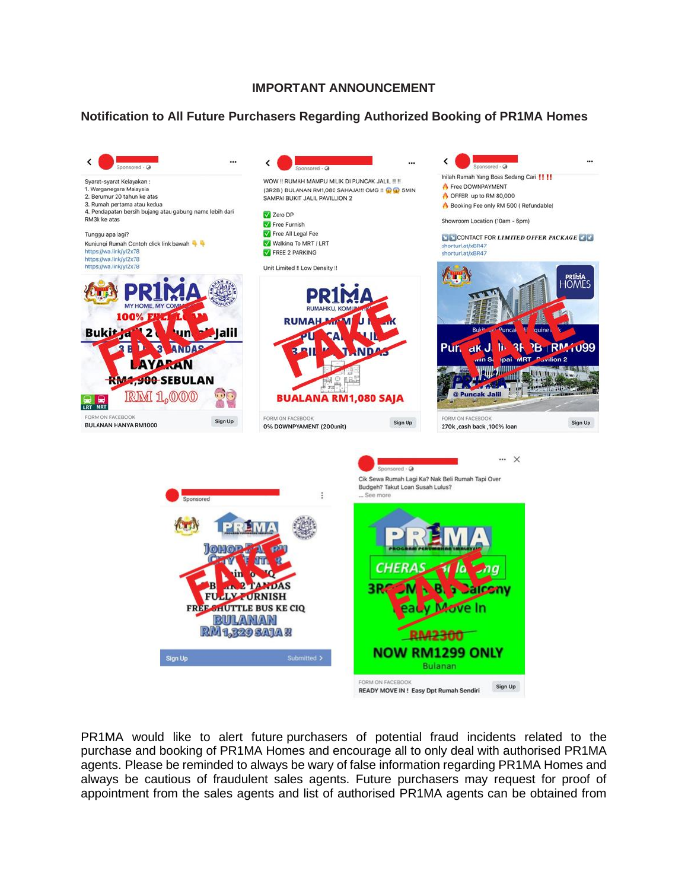## **IMPORTANT ANNOUNCEMENT**

## **Notification to All Future Purchasers Regarding Authorized Booking of PR1MA Homes**



PR1MA would like to alert future purchasers of potential fraud incidents related to the purchase and booking of PR1MA Homes and encourage all to only deal with authorised PR1MA agents. Please be reminded to always be wary of false information regarding PR1MA Homes and always be cautious of fraudulent sales agents. Future purchasers may request for proof of appointment from the sales agents and list of authorised PR1MA agents can be obtained from